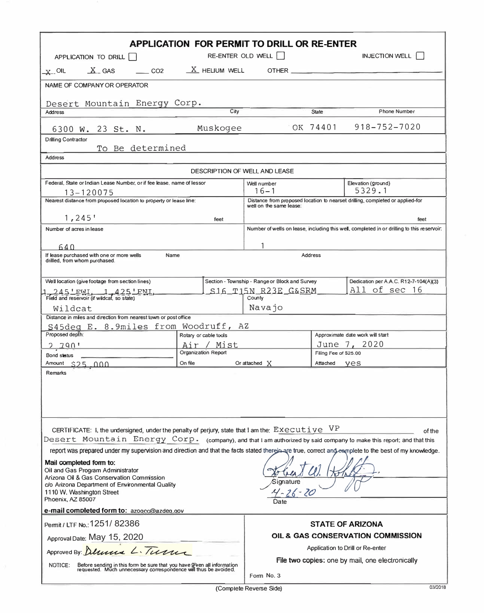| <b>APPLICATION FOR PERMIT TO DRILL OR RE-ENTER</b><br><b>INJECTION WELL</b><br>RE-ENTER OLD WELL    <br>APPLICATION TO DRILL                                                                                                                   |                                                                                                          |                                                |                                                  |                                                                                            |  |  |  |  |  |
|------------------------------------------------------------------------------------------------------------------------------------------------------------------------------------------------------------------------------------------------|----------------------------------------------------------------------------------------------------------|------------------------------------------------|--------------------------------------------------|--------------------------------------------------------------------------------------------|--|--|--|--|--|
| $X_{-}$ GAS $CO2$<br>$\mathbf{x}$ oil                                                                                                                                                                                                          |                                                                                                          | $X$ HELIUM WELL OTHER                          |                                                  |                                                                                            |  |  |  |  |  |
|                                                                                                                                                                                                                                                |                                                                                                          |                                                |                                                  |                                                                                            |  |  |  |  |  |
| NAME OF COMPANY OR OPERATOR                                                                                                                                                                                                                    |                                                                                                          |                                                |                                                  |                                                                                            |  |  |  |  |  |
| Desert Mountain Energy Corp.                                                                                                                                                                                                                   |                                                                                                          |                                                |                                                  |                                                                                            |  |  |  |  |  |
| <b>Address</b>                                                                                                                                                                                                                                 | City                                                                                                     |                                                | State                                            | Phone Number                                                                               |  |  |  |  |  |
| 6300 W. 23 St. N.                                                                                                                                                                                                                              | Muskogee                                                                                                 |                                                | OK 74401                                         | $918 - 752 - 7020$                                                                         |  |  |  |  |  |
| <b>Drilling Contractor</b>                                                                                                                                                                                                                     |                                                                                                          |                                                |                                                  |                                                                                            |  |  |  |  |  |
| To Be determined<br><b>Address</b>                                                                                                                                                                                                             |                                                                                                          |                                                |                                                  |                                                                                            |  |  |  |  |  |
|                                                                                                                                                                                                                                                | DESCRIPTION OF WELL AND LEASE                                                                            |                                                |                                                  |                                                                                            |  |  |  |  |  |
| Federal, State or Indian Lease Number, or if fee lease, name of lessor                                                                                                                                                                         |                                                                                                          | Well number                                    |                                                  | Elevation (ground)                                                                         |  |  |  |  |  |
| 13-120075                                                                                                                                                                                                                                      | 5329.1<br>$16 - 1$                                                                                       |                                                |                                                  |                                                                                            |  |  |  |  |  |
| Nearest distance from proposed location to property or lease line:                                                                                                                                                                             | Distance from proposed location to nearset drilling, completed or applied-for<br>well on the same lease: |                                                |                                                  |                                                                                            |  |  |  |  |  |
| $1,245$ '                                                                                                                                                                                                                                      | feet                                                                                                     |                                                |                                                  | feet                                                                                       |  |  |  |  |  |
| Number of acres in lease                                                                                                                                                                                                                       |                                                                                                          |                                                |                                                  | Number of wells on lease, including this well, completed in or drilling to this reservoir. |  |  |  |  |  |
| 640.                                                                                                                                                                                                                                           |                                                                                                          |                                                |                                                  |                                                                                            |  |  |  |  |  |
| Name<br>If lease purchased with one or more wells                                                                                                                                                                                              |                                                                                                          | Address                                        |                                                  |                                                                                            |  |  |  |  |  |
| drilled, from whom purchased.                                                                                                                                                                                                                  |                                                                                                          |                                                |                                                  |                                                                                            |  |  |  |  |  |
| Well location (give footage from section lines)                                                                                                                                                                                                |                                                                                                          | Section - Township - Range or Block and Survey |                                                  | Dedication per A.A.C. R12-7-104(A)(3)                                                      |  |  |  |  |  |
| $245!$ FWI $-1$ $425!$ FNI                                                                                                                                                                                                                     |                                                                                                          | All of sec 16<br>$S16$ -T15N-R23E-G&SRM        |                                                  |                                                                                            |  |  |  |  |  |
| Field and reservoir (if wildcat, so state)                                                                                                                                                                                                     |                                                                                                          | County<br>Navajo                               |                                                  |                                                                                            |  |  |  |  |  |
| Wildcat<br>Distance in miles and direction from nearest town or post office                                                                                                                                                                    |                                                                                                          |                                                |                                                  |                                                                                            |  |  |  |  |  |
| S45deg E. 8.9miles from Woodruff, AZ                                                                                                                                                                                                           |                                                                                                          |                                                |                                                  |                                                                                            |  |  |  |  |  |
| Proposed depth:                                                                                                                                                                                                                                | Rotary or cable tools<br>Air / Mist                                                                      |                                                | Approximate date work will start<br>June 7, 2020 |                                                                                            |  |  |  |  |  |
| 2.790'<br>Bond status                                                                                                                                                                                                                          | <b>Organization Report</b>                                                                               | Filing Fee of \$25.00                          |                                                  |                                                                                            |  |  |  |  |  |
| Amount \$25,000                                                                                                                                                                                                                                | On file                                                                                                  | Or attached X<br>Attached <b>Ves</b>           |                                                  |                                                                                            |  |  |  |  |  |
| Remarks                                                                                                                                                                                                                                        |                                                                                                          |                                                |                                                  |                                                                                            |  |  |  |  |  |
| CERTIFICATE: I, the undersigned, under the penalty of perjury, state that I am the: Executive                                                                                                                                                  |                                                                                                          |                                                | - V P                                            | of the                                                                                     |  |  |  |  |  |
| Desert Mountain Energy Corp. (company), and that I am authorized by said company to make this report; and that this                                                                                                                            |                                                                                                          |                                                |                                                  |                                                                                            |  |  |  |  |  |
| report was prepared under my supervision and direction and that the facts stated therein are true, correct and earnplete to the best of my knowledge.                                                                                          |                                                                                                          |                                                |                                                  |                                                                                            |  |  |  |  |  |
| Mail completed form to:<br>Oil and Gas Program Administrator<br>Arizona Oil & Gas Conservation Commission<br>Signature<br>c/o Arizona Department of Environmental Quality<br>4-26-20<br>1110 W. Washington Street<br>Phoenix, AZ 85007<br>Date |                                                                                                          |                                                |                                                  |                                                                                            |  |  |  |  |  |
| e-mail completed form to: azogcc@azdeg.gov                                                                                                                                                                                                     |                                                                                                          |                                                |                                                  |                                                                                            |  |  |  |  |  |
| Permit / LTF No.: 1251/82386                                                                                                                                                                                                                   |                                                                                                          | <b>STATE OF ARIZONA</b>                        |                                                  |                                                                                            |  |  |  |  |  |
| Approval Date: May 15, 2020                                                                                                                                                                                                                    | OIL & GAS CONSERVATION COMMISSION                                                                        |                                                |                                                  |                                                                                            |  |  |  |  |  |
| Approved By: Delivere L. Turn                                                                                                                                                                                                                  | Application to Drill or Re-enter                                                                         |                                                |                                                  |                                                                                            |  |  |  |  |  |
| Before sending in this form be sure that you have given all information<br>requested. Much unnecessary correspondence will thus be avoided.<br>NOTICE:                                                                                         | File two copies: one by mail, one electronically<br>Form No. 3                                           |                                                |                                                  |                                                                                            |  |  |  |  |  |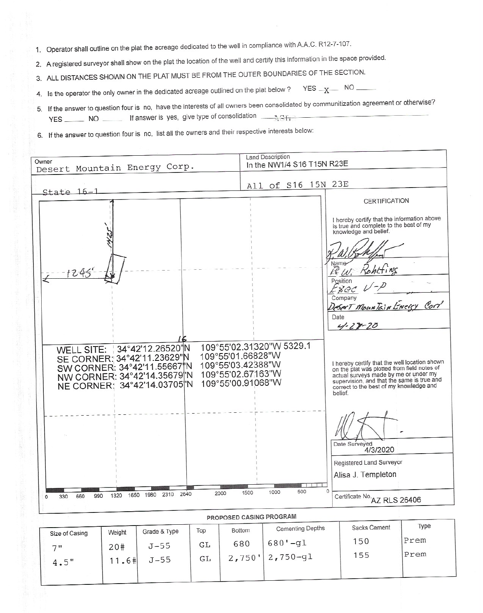- 1. Operator shall outline on the plat the acreage dedicated to the well in compliance with A.A.C. R12-7-107.
- 2. A registered surveyor shall show on the plat the location of the well and certify this information in the space provided.
- 3. ALL DISTANCES SHOWN ON THE PLAT MUST BE FROM THE OUTER BOUNDARIES OF THE SECTION.
- $YES x NO$ 4. Is the operator the only owner in the dedicated acreage outlined on the plat below?
- 5. If the answer to question four is no, have the interests of all owners been consolidated by communitization agreement or otherwise?
- 6. If the answer to question four is no, list all the owners and their respective interests below:



| Size of Casing | Weight      | Grade & Type       | Top      | Bottom                       | <b>Cementing Depths</b>     | Sacks Cement | lype         |  |
|----------------|-------------|--------------------|----------|------------------------------|-----------------------------|--------------|--------------|--|
| 711            | 20#<br>1.6# | $J - 55$<br>$J-55$ | GL<br>GL | 680<br>$2,750$ <sup>11</sup> | 680<br>$-q_1$<br>$2,750-g1$ | 150<br>155   | Prem<br>Prem |  |
| $4.5$ "        |             |                    |          |                              |                             |              |              |  |